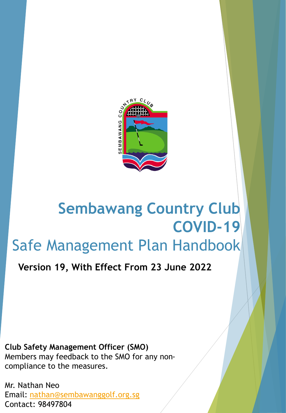

# **Sembawang Country Club COVID-19** Safe Management Plan Handbook

**Version 19, With Effect From 23 June 2022**

**Club Safety Management Officer (SMO)** Members may feedback to the SMO for any noncompliance to the measures.

Mr. Nathan Neo Email: [nathan@sembawanggolf.org.sg](mailto:Nathan@sembawanggolf.org.sg) Contact: 98497804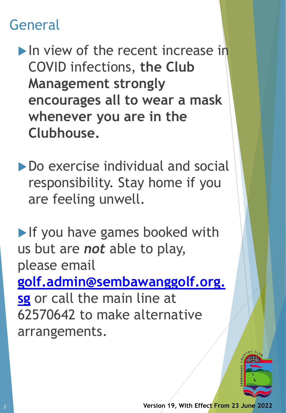## General

In view of the recent increase in COVID infections, **the Club Management strongly encourages all to wear a mask whenever you are in the Clubhouse.**

▶ Do exercise individual and social responsibility. Stay home if you are feeling unwell.

If you have games booked with us but are *not* able to play, please email **[golf.admin@sembawanggolf.org.](mailto:golf.admin@sembawanggolf.org.sg) sg** or call the main line at 62570642 to make alternative arrangements.

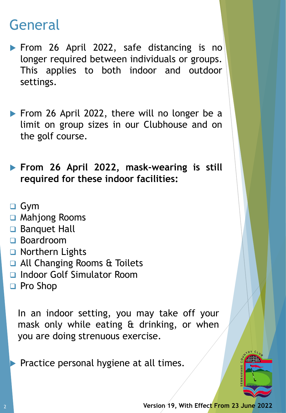### General

- **From 26 April 2022, safe distancing is no** longer required between individuals or groups. This applies to both indoor and outdoor settings.
- From 26 April 2022, there will no longer be a limit on group sizes in our Clubhouse and on the golf course.
- **From 26 April 2022, mask-wearing is still required for these indoor facilities:**
- ❑ Gym
- ❑ Mahjong Rooms
- ❑ Banquet Hall
- ❑ Boardroom
- ❑ Northern Lights
- ❑ All Changing Rooms & Toilets
- ❑ Indoor Golf Simulator Room
- ❑ Pro Shop

In an indoor setting, you may take off your mask only while eating & drinking, or when you are doing strenuous exercise.

Practice personal hygiene at all times.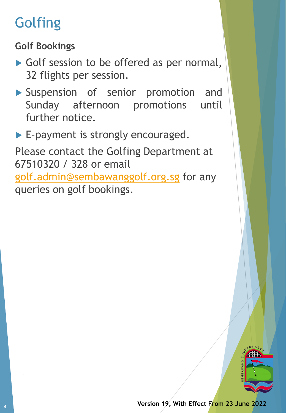# **Golfing**

**Golf Bookings**

- Golf session to be offered as per normal, 32 flights per session.
- Suspension of senior promotion and Sunday afternoon promotions until further notice.
- E-payment is strongly encouraged.

Please contact the Golfing Department at 67510320 / 328 or email [golf.admin@sembawanggolf.org.sg](mailto:golf.admin@sembawanggolf.org.sg) for any queries on golf bookings.



1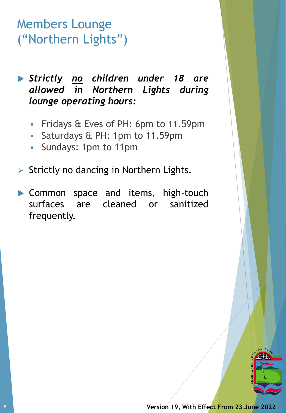### Members Lounge ("Northern Lights")

 *Strictly no children under 18 are allowed in Northern Lights during lounge operating hours:*

- Fridays & Eves of PH: 6pm to 11.59pm
- Saturdays & PH: 1pm to 11.59pm
- Sundays: 1pm to 11pm
- ➢ Strictly no dancing in Northern Lights.
- Common space and items, high-touch surfaces are cleaned or sanitized frequently.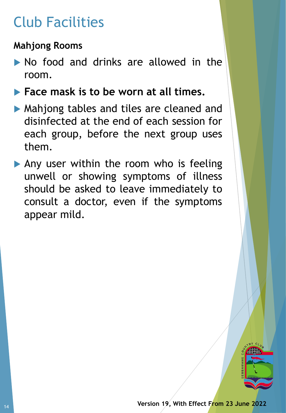# Club Facilities

#### **Mahjong Rooms**

- No food and drinks are allowed in the room.
- **Face mask is to be worn at all times.**
- Mahjong tables and tiles are cleaned and disinfected at the end of each session for each group, before the next group uses them.
- Any user within the room who is feeling unwell or showing symptoms of illness should be asked to leave immediately to consult a doctor, even if the symptoms appear mild.